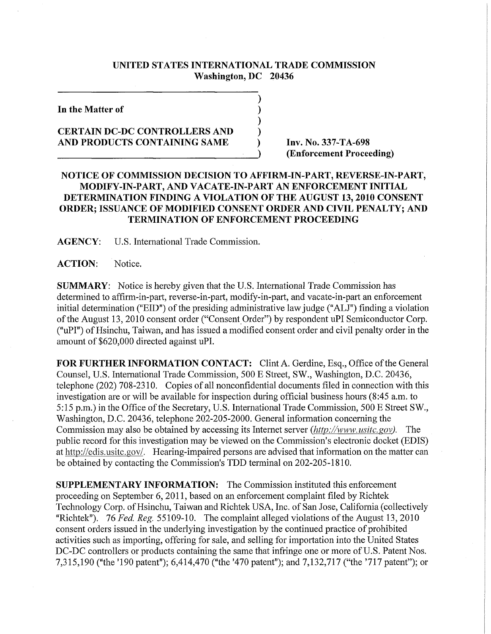## **UNITED STATES INTERNATIONAL TRADE COMMISSION Washington, DC 20436**

**In the Matter of** 

## **CERTAIN DC-DC CONTROLLERS AND AND PRODUCTS CONTAINING SAME**

**Inv. No. 337-TA-698 (Enforcement Proceeding)** 

## **NOTICE OF COMMISSION DECISION TO AFFIRM-IN-PART, REVERSE-IN-PART, MODIFY-IN-PART, AND VACATE-IN-PART AN ENFORCEMENT INITIAL DETERMINATION FINDING A VIOLATION OF THE AUGUST 13,2010 CONSENT ORDER; ISSUANCE OF MODIFIED CONSENT ORDER AND CIVIL PENALTY; AND TERMINATION OF ENFORCEMENT PROCEEDING**

 $\mathcal{L}_{\mathcal{A}}$ 

**AGENCY:** U.S. International Trade Commission.

ACTION: Notice.

**SUMMARY:** Notice is hereby given that the U.S. International Trade Commission has determined to affirm-in-part, reverse-in-part, modify-in-part, and vacate-in-part an enforcement initial determination ("EID") of the presiding administrative law judge ("ALJ") finding a violation of the August 13, 2010 consent order ("Consent Order") by respondent uPI Semiconductor Corp. ("uPI") of Hsinchu, Taiwan, and has issued a modified consent order and civil penalty order in the amount of \$620,000 directed against uPI.

**FOR FURTHER INFORMATION CONTACT:** Clint A. Gerdine, Esq., Office of the General Counsel, U.S. International Trade Commission, 500 E Street, SW., Washington, D.C. 20436, telephone (202) 708-2310. Copies of all nonconfidential documents filed in connection with this investigation are or will be available for inspection during official business hours (8:45 a.m. to 5:15 p.m.) in the Office of the Secretary, U.S. International Trade Commission, 500 E Street SW., Washington, D.C. 20436, telephone 202-205-2000. General information concerning the Commission may also be obtained by accessing its Internet server *(htfp://www. usitc.* gov). The public record for this investigation may be viewed on the Commission's electronic docket (EDIS) at http://edis.usitc.gov/. Hearing-impaired persons are advised that information on the matter can be obtained by contacting the Commission's TDD terminal on 202-205-1810.

**SUPPLEMENTARY INFORMATION:** The Commission instituted this enforcement proceeding on September 6, 2011, based on an enforcement complaint filed by Richtek Technology Corp. of Hsinchu, Taiwan and Richtek USA, Inc. of San Jose, California (collectively "Richtek"). 76 Fed. Reg. 55109-10. The complaint alleged violations of the August 13, 2010 consent orders issued in the underlying investigation by the continued practice of prohibited activities such as importing, offering for sale, and selling for importation into the United States DC-DC controllers or products containing the same that infringe one or more of U.S. Patent Nos. 7,315,190 ("the '190 patent"); 6,414,470 ("the '470 patent"); and 7,132,717 ("the '717 patent"); or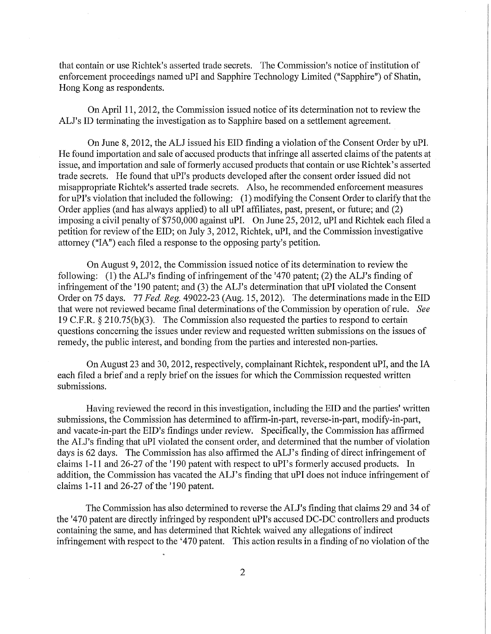that contain or use Richtek's asserted trade secrets. The Commission's notice of institution of enforcement proceedings named uPI and Sapphire Technology Limited ("Sapphire") of Shatin, Hong Kong as respondents.

On April 11, 2012, the Commission issued notice of its determination not to review the ALJ's ID terminating the investigation as to Sapphire based on a settlement agreement.

On June 8, 2012, the ALJ issued his EID finding a violation of the Consent Order by uPI. He found importation and sale of accused products that infringe all asserted claims of the patents at issue, and importation and sale of formerly accused products that contain or use Richtek's asserted trade secrets. He found that uPI's products developed after the consent order issued did not misappropriate Richtek's asserted trade secrets. Also, he recommended enforcement measures for uPI's violation that included the following: (1) modifying the Consent Order to clarify that the Order applies (and has always applied) to all uPI affiliates, past, present, or future; and (2) imposing a civil penalty of \$750,000 against uPI. On June 25, 2012, uPI and Richtek each filed a petition for review of the EID; on July 3, 2012, Richtek, uPI, and the Commission investigative attorney ("IA") each filed a response to the opposing party's petition.

On August 9, 2012, the Commission issued notice of its determination to review the following: (1) the ALJ's finding of infringement of the '470 patent; (2) the ALJ's finding of infringement of the '190 patent; and (3) the ALJ's determination that uPI violated the Consent Order on 75 days. 77 *Fed. Reg.* 49022-23 (Aug. 15,2012). The determinations made in the EID that were not reviewed became final determinations of the Commission by operation of rule. *See*  19 C.F.R. § 210.75(b)(3). The Commission also requested the parties to respond to certain questions concerning the issues under review and requested written submissions on the issues of remedy, the public interest, and bonding from the parties and interested non-parties.

On August 23 and 30,2012, respectively, complainant Richtek, respondent uPI, and the IA each filed a brief and a reply brief on the issues for which the Commission requested written submissions.

Having reviewed the record in this investigation, including the EID and the parties' written submissions, the Commission has determined to affirm-in-part, reverse-in-part, modify-in-part, and vacate-in-part the EID's findings under review. Specifically, the Commission has affirmed the ALJ's finding that uPI violated the consent order, and determined that the number of violation days is 62 days. The Commission has also affirmed the ALJ's finding of direct infringement of claims 1-11 and 26-27 of the '190 patent with respect to uPI's formerly accused products. In addition, the Commission has vacated the ALJ's finding that uPI does not induce infringement of claims  $1-11$  and  $26-27$  of the '190 patent.

The Commission has also determined to reverse the ALJ's finding that claims 29 and 34 of the '470 patent are directly infringed by respondent uPI's accused DC-DC controllers and products containing the same, and has determined that Richtek waived any allegations of indirect infringement with respect to the '470 patent. This action results in a finding of no violation of the